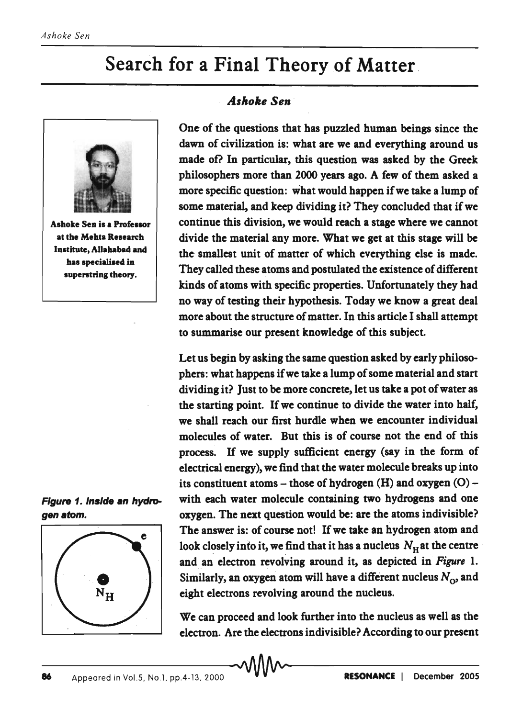## Search for a Final Theory of Matter.



Ashoke Sen is a Professor at the Mehta Research Institute, AUahabad and has specialised in superstring theory.





## *. Ashoke Sen*

One of the questions that has puzzled human beings since the dawn of civilization is: what are we and everything around us made of? In particular, this question was asked by the Greek philosophers more than 2000 years ago. A few of them asked a more specific question: what would happen if we take a lump of some material, and keep dividing it? They concluded that if we continue this division, we would reach a stage where we cannot divide the material any more. What we get at this stage will be the smallest unit of matter of which everything else is made. They called these atoms and postulated the existence of different kinds of atoms with specific properties. Unfortunately they had no way of testing their hypothesis. Today we know a great deal more about the structure of matter. In this article I shall attempt to summarise our present knowledge of this subject.

Let us begin by asking the same question asked by early philosophers: what happens if we take a lump of some material and start dividing it? Just to be more concrete, let us take a pot of water as the starting point. If we continue to divide the water into half, we shall reach our first hurdle when we encounter individual molecules of water. But this is of course not the end of this process. If we supply sufficient energy (say in the form of electrical energy), we find that the water molecule breaks up into its constituent atoms – those of hydrogen  $(H)$  and oxygen  $(O)$  – Figure 1. inside an hydro- with each water molecule containing two hydrogens and one gen atom. oxygen. The next question would be: are the atoms indivisible? The answer is: of course not! If we take an hydrogen atom and look closely into it, we find that it has a nucleus  $N_H$  at the centre and an electron revolving around it, as depicted in *Figure 1.*  Similarly, an oxygen atom will have a different nucleus  $N_{\rm O}$  and eight electrons revolving around the nucleus.

> We can proceed and look further into the nucleus as well as the electron. Are the electrons indivisible? According to our present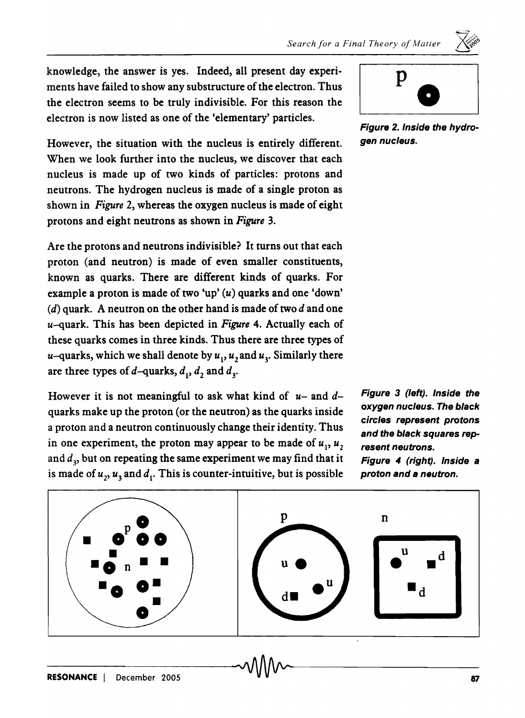$\leftrightarrow$ .

knowledge, the answer is yes. Indeed, all present day experiments have failed to show any substructure of the electron. Thus the electron seems to be truly indivisible. For this reason the electron is now listed as one of the 'elementary' particles.<br>Figure 2. Inside the hydro-

However, the situation with the nucleus is entirely different. gen nucleus. When we look further into the nucleus, we discover that each nucleus is made up of two kinds of particles: protons and neutrons. The hydrogen nucleus is made of a single proton as shown in *Figure* 2, whereas the oxygen nucleus is made of eight protons and eight neutrons as shown in *Figure 3.* 

Are the protons and neutrons indivisible? It turns out that each proton (and neutron) is made of even smaller constituents, known as quarks. There are different kinds of quarks. For example a proton is made of two 'up'  $(u)$  quarks and one 'down'  $(d)$  quark. A neutron on the other hand is made of two d and one u-quark. This has been depicted in *Figure* 4. Actually each of these quarks comes in three kinds. Thus there are three types of  $u$ –quarks, which we shall denote by  $u_1$ ,  $u_2$  and  $u_3$ . Similarly there are three types of  $d$ -quarks,  $d_1$ ,  $d_2$  and  $d_3$ .

However it is not meaningful to ask what kind of *u-* and dquarks make up the proton (or the neutron) as the quarks inside a proton and a neutron continuously change their identity. Thus in one experiment, the proton may appear to be made of  $u_1, u_2$ and  $d_3$ , but on repeating the same experiment we may find that it is made of  $u_2$ ,  $u_3$  and  $d_1$ . This is counter-intuitive, but is possible



Figure 3 (left). Inside the oxygen nucleus. The black circles represent protons and the black squares represent neutrons. Figure 4 (right). Inside a proton and a neutron.

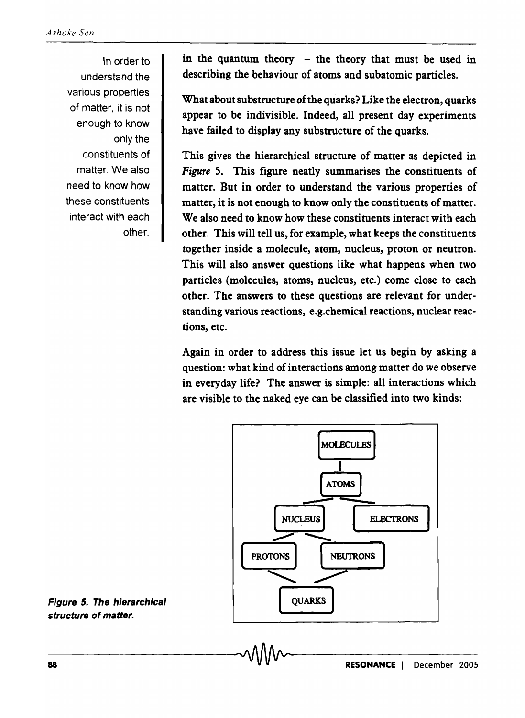In order to understand the various properties of matter, it is not enough to know only the constituents of matter. We also need to know how these constituents interact with each other.

in the quantum theory  $-$  the theory that must be used in describing the behaviour of atoms and subatomic particles.

What about substructure of the quarks? Like the electron, quarks appear to be indivisible. Indeed, all present day experiments have failed to display any substructure of the quarks.

This gives the hierarchical structure of matter as depicted in *Figure* S. This figure neatly summarises the constituents of matter. But in order to understand the various properties of matter, it is not enough to know only the constituents of matter. We also need to know how these constituents interact with each other. This will tell us, for example, what keeps the constituents together inside a molecule, atom, nucleus, proton or neutron. This will also answer questions like what happens when two particles (molecules, atoms, nucleus, etc.) come close to each other. The answers to these questions are relevant for understanding various reactions, e.g. chemical reactions, nuclear reactions, etc.

Again in order to address this issue let us begin by asking a question: what kind of interactions among matter do we observe in everyday life? The answer is simple: all interactions which are visible to the naked eye can be classified into two kinds:



Figure 5. The hierarchical structure of matter.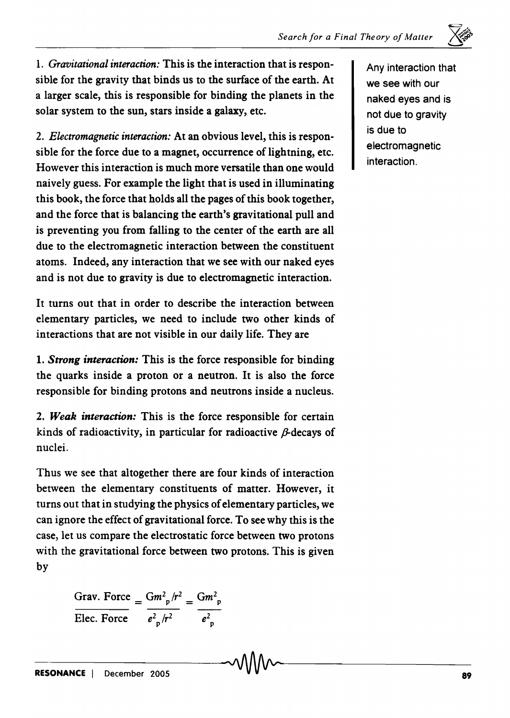1. *Gravitational interaction:* This is the interaction that is responsible for the gravity that binds us to the surface of the earth. At a larger scale, this is responsible for binding the planets in the solar system to the sun, stars inside a galaxy, etc.

*2. Electromagnetic interaction:* At an obvious level, this is responsible for the force due to a magnet, occurrence of lightning, etc. However this interaction is much more versatile than one would naively guess. For example the light that is used in illuminating this book, the force that holds all the pages of this book together, and the force that is balancing the earth's gravitational pull and is preventing you from falling to the center of the earth are all due to the electromagnetic interaction between the constituent atoms. Indeed, any interaction that we see with our naked eyes and is not due to gravity is due to electromagnetic interaction.

It turns out that in order to describe the interaction between elementary particles, we need to include two other kinds of interactions that are not visible in our daily life. They are

1. *Strong interaction:* This is the force responsible for binding the quarks inside a proton or a neutron. It is also the force responsible for binding protons and neutrons inside a nucleus.

*2. Weak interaction:* This is the force responsible for certain kinds of radioactivity, in particular for radioactive  $\beta$ -decays of nuclei.

Thus we see that altogether there are four kinds of interaction between the elementary constituents of matter. However, it turns out that in studying the physics of elementary particles, we can ignore the effect of gravitational force. To see why this is the case, let us compare the electrostatic force between two protons with the gravitational force between two protons. This is given by

Grav. Force  $= \frac{Gm_p^2/r^2}{e_{p}^2/r^2} = \frac{Gm_p^2}{e_{p}^2}$ 

Any interaction that we see with our naked eyes and is not due to gravity is due to electromagnetic interaction.

 $\mathcal{L}^v$  $\bigtimes_{\mathbb{Z}}$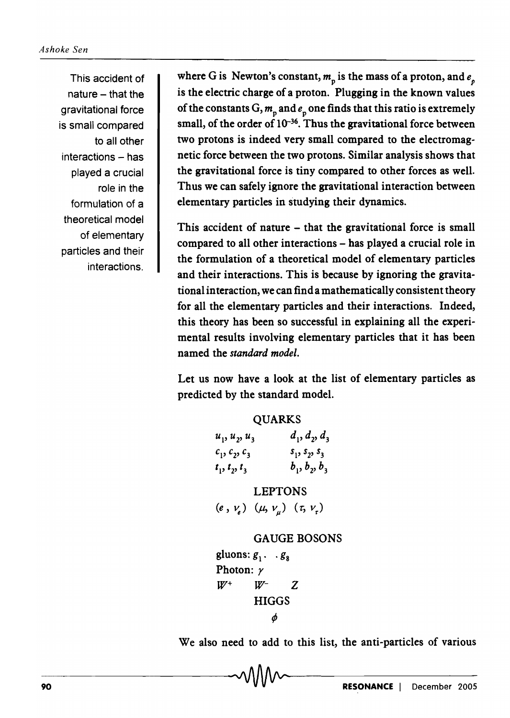This accident of  $nature - that the$ gravitational force is small compared to all other interactions - has played a crucial role in the formulation of a theoretical model of elementary particles and their interactions.

where G is Newton's constant,  $m_{\rm p}$  is the mass of a proton, and  $e_p$ is the electric charge of a proton. Plugging in the known values of the constants  $G, m_n$  and  $e_n$  one finds that this ratio is extremely small, of the order of  $10^{-36}$ . Thus the gravitational force between two protons is indeed very small compared to the electromagnetic force between the two protons. Similar analysis shows that the gravitational force is tiny compared to other forces as well. Thus we can safely ignore the gravitational interaction between elementary particles in studying their dynamics.

This accident of nature – that the gravitational force is small compared to all other interactions - has played a crucial role in the formulation of a theoretical model of elementary particles and their interactions. This is because by ignoring the gravitational interaction, we can find a mathematically consistent theory for all the elementary particles and their interactions. Indeed, this theory has been so successful in explaining all the experimental results involving elementary particles that it has been named the *standard model.* 

Let us now have a look at the list of elementary particles as predicted by the standard model.

| <b>QUARKS</b>                                  |                 |
|------------------------------------------------|-----------------|
| $u_1, u_2, u_3$                                | $d_1, d_2, d_3$ |
| $c_1, c_2, c_3$                                | $s_1, s_2, s_3$ |
| $t_1, t_2, t_3$                                | $b_1, b_2, b_3$ |
| <b>LEPTONS</b>                                 |                 |
| $(e, v_e)$ $(\mu, v_{\mu})$ $(\tau, v_{\tau})$ |                 |

```
GAUGE BOSONS
```

```
gluons: g_1 \cdot g_2Photon: r 
W^+ W^- Z
       HIGGS 
           ¢
```
We also need to add to this list, the anti-particles of various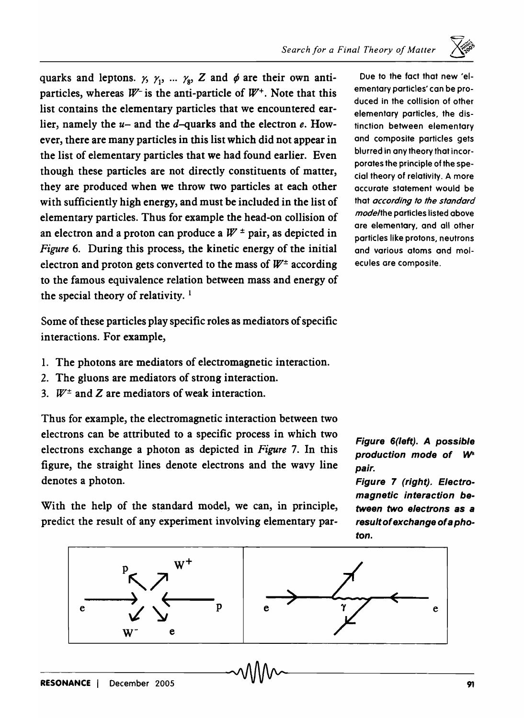

quarks and leptons.  $\gamma_1$ ,  $\gamma_2$ ,  $\gamma_3$ ,  $\gamma_4$ ,  $\gamma_5$ ,  $\gamma_6$  and  $\phi$  are their own antiparticles, whereas  $W^-$  is the anti-particle of  $W^+$ . Note that this list contains the elementary particles that we encountered earlier, namely the *u-* and the d-quarks and the electron *e.* However, there are many particles in this list which did not appear in the list of elementary particles that we had found earlier. Even though these particles are not directly constituents of matter, they are produced when we throw two particles at each other with sufficiently high energy, and must be included in the list of elementary particles. Thus for example the head-on collision of an electron and a proton can produce a  $W^{\pm}$  pair, as depicted in *Figure* 6. During this process, the kinetic energy of the initial electron and proton gets converted to the mass of  $W^{\pm}$  according to the famous equivalence relation between mass and energy of the special theory of relativity.<sup>1</sup>

Some of these particles play specific roles as mediators of specific interactions. For example,

- 1. The photons are mediators of electromagnetic interaction.
- 2. The gluons are mediators of strong interaction.
- 3.  $W^{\pm}$  and Z are mediators of weak interaction.

Thus for example, the electromagnetic interaction between two electrons can be attributed to a specific process in which two electrons exchange a photon as depicted in *Figure* 7. In this figure, the straight lines denote electrons and the wavy line denotes a photon.

With the help of the standard model, we can, in principle, predict the result of any experiment involving elementary par-

Due to the fact that new 'elementary particles' can be produced in the collision of other elementary particles. the distinction between elementary and composite particles gets blurred in any theory that incorporates the principle of the special theory of relativity. A more accurate statement would be that *according to the standard mode/the* particles listed above are elementary, and all other particles like protons. neutrons and various atoms and molecules are composite.

Figure 6(left). A possible production mode of W<sup>+</sup> pair.

Figure 7 (right). Electromagnetic interaction between two electrons as a result of exchange of a photon.

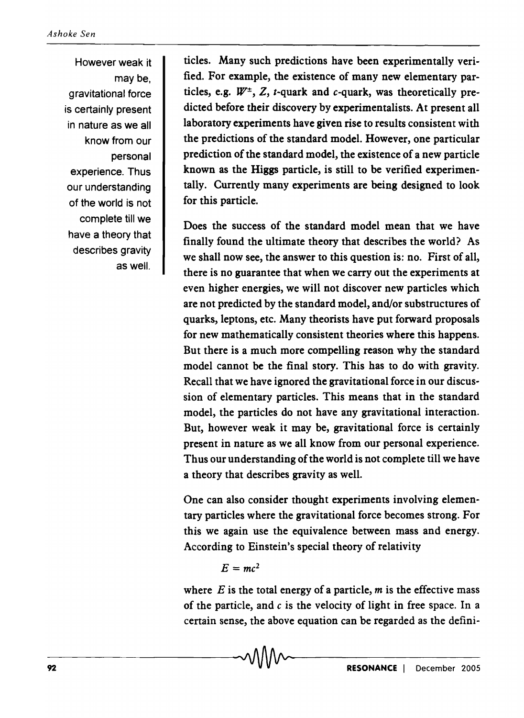However weak it may be, gravitational force is certainly present in nature as we all know from our personal experience. Thus our understanding of the world is not complete till we have a theory that describes gravity as well.

ticles. Many such predictions have been experimentally verified. For example, the existence of many new elementary particles, e.g.  $W^{\pm}$ , Z, t-quark and c-quark, was theoretically predicted before their discovery by experimentalists. At present all laboratory experiments have given rise to results consistent with the predictions of the standard model. However, one particular prediction of the standard model, the existence of a new particle known as the Higgs particle, is still to be verified experimentally. Currently many experiments are being designed to look for this particle.

Does the success of the standard model mean that we have finally found the ultimate theory that describes the world? As we shall now see, the answer to this question is: no. First of all, there is no guarantee that when we carry out the experiments at even higher energies, we will not discover new particles which are not predicted by the standard model, and/or substructures of quarks, leptons, etc. Many theorists have put forward proposals for new mathematically consistent theories where this happens. But there is a much more compelling reason why the standard model cannot be the final story. This has to do with gravity. Recall that we have ignored the gravitational force in our discussion of elementary particles. This means that in the standard model, the particles do not have any gravitational interaction. But, however weak it may be, gravitational force is certainly present in nature as we all know from our personal experience. Thus our understanding of the world is not complete till we have a theory that describes gravity as well.

One can also consider thought experiments involving elementary particles where the gravitational force becomes strong. For this we again use the equivalence between mass and energy. According to Einstein's special theory of relativity

 $E = mc^2$ 

where  $E$  is the total energy of a particle,  $m$  is the effective mass of the particle, and  $c$  is the velocity of light in free space. In a certain sense, the above equation can be regarded as the defini-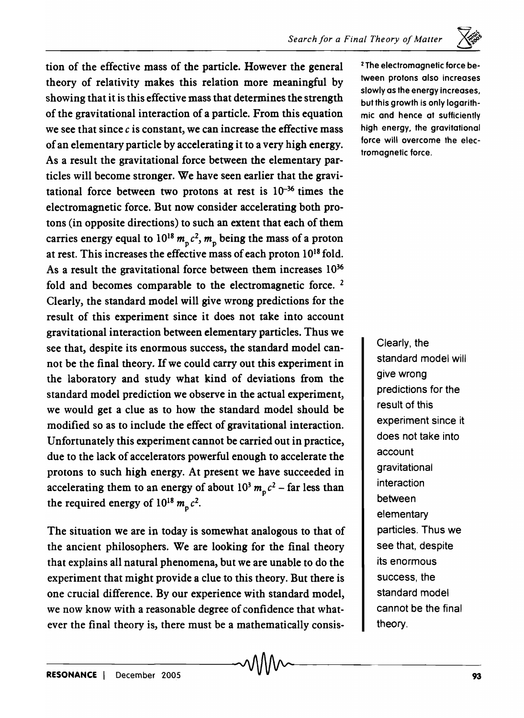

tion of the effective mass of the particle. However the general theory of relativity makes this relation more meaningful by showing that it is this effective mass that determines the strength of the gravitational interaction of a particle. From this equation we see that since  $c$  is constant, we can increase the effective mass of an elementary particle by accelerating it to a very high energy. As a result the gravitational force between the elementary particles will become stronger. We have seen earlier that the gravitational force between two protons at rest is  $10^{-36}$  times the electromagnetic force. But now consider accelerating both protons (in opposite directions) to such an extent that each of them carries energy equal to  $10^{18} m_p c^2$ ,  $m_p$  being the mass of a proton at rest. This increases the effective mass of each proton 1018 fold. As a result the gravitational force between them increases  $10^{36}$ fold and becomes comparable to the electromagnetic force. 2 Clearly, the standard model will give wrong predictions for the result of this experiment since it does not take into account gravitational interaction between elementary particles. Thus we see that, despite its enormous success, the standard model cannot be the final theory. If we could carry out this experiment in the laboratory and study what kind of deviations from the standard model prediction we observe in the actual experiment, we would get a clue as to how the standard model should be modified so as to include the effect of gravitational interaction. Unfortunately this experiment cannot be carried out in practice, due to the lack of accelerators powerful enough to accelerate the protons to such high energy. At present we have succeeded in accelerating them to an energy of about  $10^3$   $m_p c^2$  – far less than the required energy of  $10^{18} m_p c^2$ .

The situation we are in today is somewhat analogous to that of the ancient philosophers. We are looking for the final theory that explains all natural phenomena, but we are unable to do the experiment that might provide a clue to this theory. But there is one crucial difference. By our experience with standard model, we now know with a reasonable degree of confidence that whatever the final theory is, there must be a mathematically consis-

2 The electromagnetic force between protons also increases slowly as the energy increases, but this growth is only logarithmiC and hence at sufficiently high energy, the gravitational force will overcome the electromagnetic force.

> Clearly, the standard model will give wrong predictions for the result of this experiment since it does not take into account gravitational interaction between elementary particles. Thus we see that, despite its enormous success, the standard model cannot be the final theory.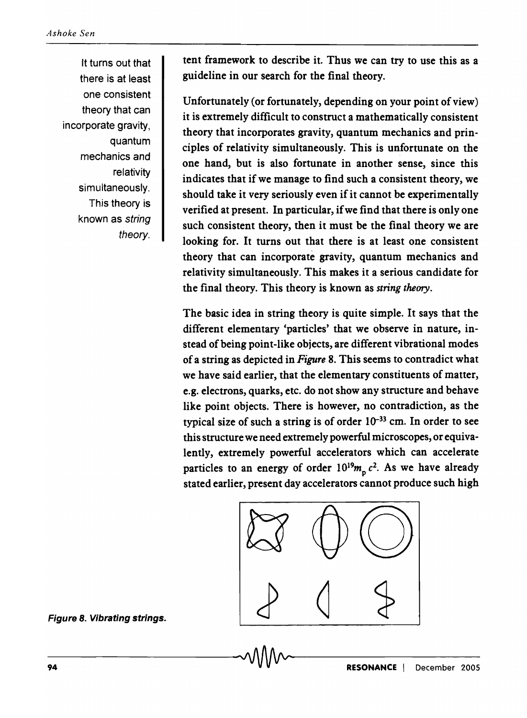It turns out that there is at least one consistent theory that can incorporate gravity, quantum mechanics and relativity simultaneously. This theory is known as string theory.

tent framework to describe it. Thus we can try to use this as a guideline in our search for the final theory.

Unfortunately (or fortunately, depending on your point of view) it is extremely difficult to construct a mathematically consistent theory that incorporates gravity, quantum mechanics and principles of relativity simultaneously. This is unfortunate on the one hand, but is also fortunate in another sense, since this indicates that if we manage to find such a consistent theory, we should take it very seriously even if it cannot be experimentally verified at present. In particular, if we find that there is only one such consistent theory, then it must be the final theory we are looking for. It turns out that there is at least one consistent theory that can incorporate gravity, quantum mechanics and relativity simultaneously. This makes it a serious candidate for the final theory. This theory is known as *string theory.* 

The basic idea in string theory is quite simple. It says that the different elementary 'particles' that we observe in nature, instead of being point-like objects, are different vibrational modes of a string as depicted in *Figure* 8. This seems to contradict what we have said earlier, that the elementary constituents of matter, e.g. electrons, quarks, etc. do not show any structure and behave like point objects. There is however, no contradiction, as the typical size of such a string is of order  $10^{-33}$  cm. In order to see this structure we need extremely powerful microscopes, or equivalently, extremely powerful accelerators which can accelerate particles to an energy of order  $10^{19}m_{\pi} c^2$ . As we have already stated earlier, present day accelerators cannot produce such high



Figure 8. Vibrating strings.